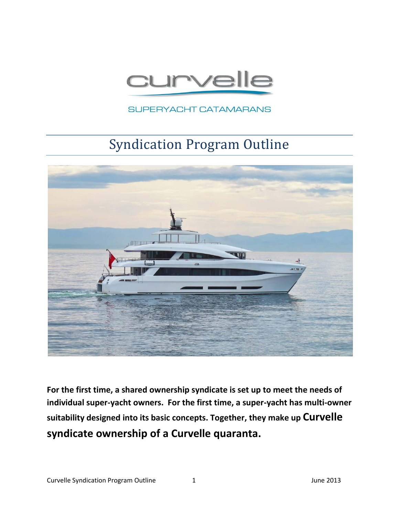

SUPERYACHT CATAMARANS

# Syndication Program Outline



**For the first time, a shared ownership syndicate is set up to meet the needs of individual super-yacht owners. For the first time, a super-yacht has multi-owner suitability designed into its basic concepts. Together, they make up Curvelle syndicate ownership of a Curvelle quaranta.**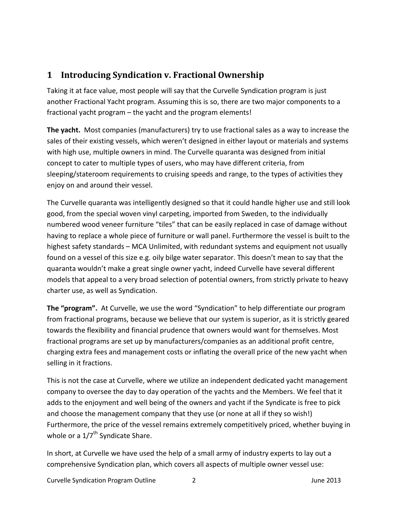## **1 Introducing Syndication v. Fractional Ownership**

Taking it at face value, most people will say that the Curvelle Syndication program is just another Fractional Yacht program. Assuming this is so, there are two major components to a fractional yacht program – the yacht and the program elements!

**The yacht.** Most companies (manufacturers) try to use fractional sales as a way to increase the sales of their existing vessels, which weren't designed in either layout or materials and systems with high use, multiple owners in mind. The Curvelle quaranta was designed from initial concept to cater to multiple types of users, who may have different criteria, from sleeping/stateroom requirements to cruising speeds and range, to the types of activities they enjoy on and around their vessel.

The Curvelle quaranta was intelligently designed so that it could handle higher use and still look good, from the special woven vinyl carpeting, imported from Sweden, to the individually numbered wood veneer furniture "tiles" that can be easily replaced in case of damage without having to replace a whole piece of furniture or wall panel. Furthermore the vessel is built to the highest safety standards – MCA Unlimited, with redundant systems and equipment not usually found on a vessel of this size e.g. oily bilge water separator. This doesn't mean to say that the quaranta wouldn't make a great single owner yacht, indeed Curvelle have several different models that appeal to a very broad selection of potential owners, from strictly private to heavy charter use, as well as Syndication.

**The "program".** At Curvelle, we use the word "Syndication" to help differentiate our program from fractional programs, because we believe that our system is superior, as it is strictly geared towards the flexibility and financial prudence that owners would want for themselves. Most fractional programs are set up by manufacturers/companies as an additional profit centre, charging extra fees and management costs or inflating the overall price of the new yacht when selling in it fractions.

This is not the case at Curvelle, where we utilize an independent dedicated yacht management company to oversee the day to day operation of the yachts and the Members. We feel that it adds to the enjoyment and well being of the owners and yacht if the Syndicate is free to pick and choose the management company that they use (or none at all if they so wish!) Furthermore, the price of the vessel remains extremely competitively priced, whether buying in whole or a  $1/7^{\text{th}}$  Syndicate Share.

In short, at Curvelle we have used the help of a small army of industry experts to lay out a comprehensive Syndication plan, which covers all aspects of multiple owner vessel use: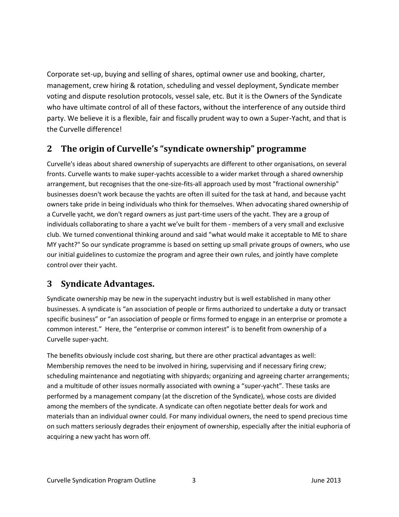Corporate set-up, buying and selling of shares, optimal owner use and booking, charter, management, crew hiring & rotation, scheduling and vessel deployment, Syndicate member voting and dispute resolution protocols, vessel sale, etc. But it is the Owners of the Syndicate who have ultimate control of all of these factors, without the interference of any outside third party. We believe it is a flexible, fair and fiscally prudent way to own a Super-Yacht, and that is the Curvelle difference!

## **2 The origin of Curvelle's "syndicate ownership" programme**

Curvelle's ideas about shared ownership of superyachts are different to other organisations, on several fronts. Curvelle wants to make super-yachts accessible to a wider market through a shared ownership arrangement, but recognises that the one-size-fits-all approach used by most "fractional ownership" businesses doesn't work because the yachts are often ill suited for the task at hand, and because yacht owners take pride in being individuals who think for themselves. When advocating shared ownership of a Curvelle yacht, we don't regard owners as just part-time users of the yacht. They are a group of individuals collaborating to share a yacht we've built for them - members of a very small and exclusive club. We turned conventional thinking around and said "what would make it acceptable to ME to share MY yacht?" So our syndicate programme is based on setting up small private groups of owners, who use our initial guidelines to customize the program and agree their own rules, and jointly have complete control over their yacht.

### **3 Syndicate Advantages.**

Syndicate ownership may be new in the superyacht industry but is well established in many other businesses. A syndicate is "an association of people or firms authorized to undertake a duty or transact specific business" or "an association of people or firms formed to engage in an enterprise or promote a common interest." Here, the "enterprise or common interest" is to benefit from ownership of a Curvelle super-yacht.

The benefits obviously include cost sharing, but there are other practical advantages as well: Membership removes the need to be involved in hiring, supervising and if necessary firing crew; scheduling maintenance and negotiating with shipyards; organizing and agreeing charter arrangements; and a multitude of other issues normally associated with owning a "super-yacht". These tasks are performed by a management company (at the discretion of the Syndicate), whose costs are divided among the members of the syndicate. A syndicate can often negotiate better deals for work and materials than an individual owner could. For many individual owners, the need to spend precious time on such matters seriously degrades their enjoyment of ownership, especially after the initial euphoria of acquiring a new yacht has worn off.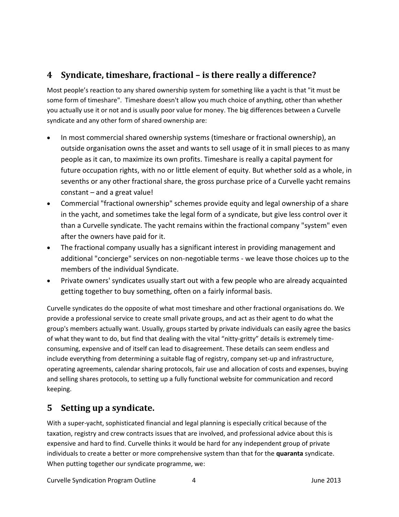## **4 Syndicate, timeshare, fractional – is there really a difference?**

Most people's reaction to any shared ownership system for something like a yacht is that "it must be some form of timeshare". Timeshare doesn't allow you much choice of anything, other than whether you actually use it or not and is usually poor value for money. The big differences between a Curvelle syndicate and any other form of shared ownership are:

- In most commercial shared ownership systems (timeshare or fractional ownership), an outside organisation owns the asset and wants to sell usage of it in small pieces to as many people as it can, to maximize its own profits. Timeshare is really a capital payment for future occupation rights, with no or little element of equity. But whether sold as a whole, in sevenths or any other fractional share, the gross purchase price of a Curvelle yacht remains constant – and a great value!
- Commercial "fractional ownership" schemes provide equity and legal ownership of a share in the yacht, and sometimes take the legal form of a syndicate, but give less control over it than a Curvelle syndicate. The yacht remains within the fractional company "system" even after the owners have paid for it.
- The fractional company usually has a significant interest in providing management and additional "concierge" services on non-negotiable terms - we leave those choices up to the members of the individual Syndicate.
- Private owners' syndicates usually start out with a few people who are already acquainted getting together to buy something, often on a fairly informal basis.

Curvelle syndicates do the opposite of what most timeshare and other fractional organisations do. We provide a professional service to create small private groups, and act as their agent to do what the group's members actually want. Usually, groups started by private individuals can easily agree the basics of what they want to do, but find that dealing with the vital "nitty-gritty" details is extremely timeconsuming, expensive and of itself can lead to disagreement. These details can seem endless and include everything from determining a suitable flag of registry, company set-up and infrastructure, operating agreements, calendar sharing protocols, fair use and allocation of costs and expenses, buying and selling shares protocols, to setting up a fully functional website for communication and record keeping.

# **5 Setting up a syndicate.**

With a super-yacht, sophisticated financial and legal planning is especially critical because of the taxation, registry and crew contracts issues that are involved, and professional advice about this is expensive and hard to find. Curvelle thinks it would be hard for any independent group of private individuals to create a better or more comprehensive system than that for the **quaranta** syndicate. When putting together our syndicate programme, we: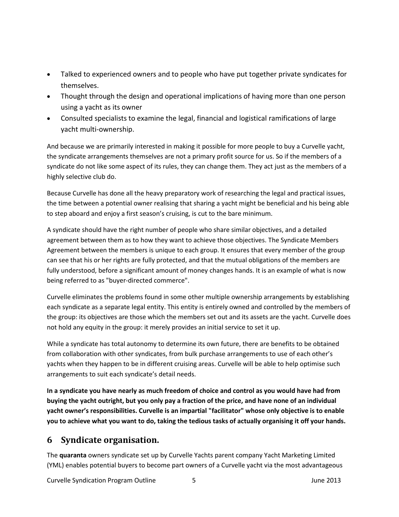- Talked to experienced owners and to people who have put together private syndicates for themselves.
- Thought through the design and operational implications of having more than one person using a yacht as its owner
- Consulted specialists to examine the legal, financial and logistical ramifications of large yacht multi-ownership.

And because we are primarily interested in making it possible for more people to buy a Curvelle yacht, the syndicate arrangements themselves are not a primary profit source for us. So if the members of a syndicate do not like some aspect of its rules, they can change them. They act just as the members of a highly selective club do.

Because Curvelle has done all the heavy preparatory work of researching the legal and practical issues, the time between a potential owner realising that sharing a yacht might be beneficial and his being able to step aboard and enjoy a first season's cruising, is cut to the bare minimum.

A syndicate should have the right number of people who share similar objectives, and a detailed agreement between them as to how they want to achieve those objectives. The Syndicate Members Agreement between the members is unique to each group. It ensures that every member of the group can see that his or her rights are fully protected, and that the mutual obligations of the members are fully understood, before a significant amount of money changes hands. It is an example of what is now being referred to as "buyer-directed commerce".

Curvelle eliminates the problems found in some other multiple ownership arrangements by establishing each syndicate as a separate legal entity. This entity is entirely owned and controlled by the members of the group: its objectives are those which the members set out and its assets are the yacht. Curvelle does not hold any equity in the group: it merely provides an initial service to set it up.

While a syndicate has total autonomy to determine its own future, there are benefits to be obtained from collaboration with other syndicates, from bulk purchase arrangements to use of each other's yachts when they happen to be in different cruising areas. Curvelle will be able to help optimise such arrangements to suit each syndicate's detail needs.

**In a syndicate you have nearly as much freedom of choice and control as you would have had from buying the yacht outright, but you only pay a fraction of the price, and have none of an individual yacht owner's responsibilities. Curvelle is an impartial "facilitator" whose only objective is to enable you to achieve what you want to do, taking the tedious tasks of actually organising it off your hands.**

### **6 Syndicate organisation.**

The **quaranta** owners syndicate set up by Curvelle Yachts parent company Yacht Marketing Limited (YML) enables potential buyers to become part owners of a Curvelle yacht via the most advantageous

Curvelle Syndication Program Outline 5 5 3 June 2013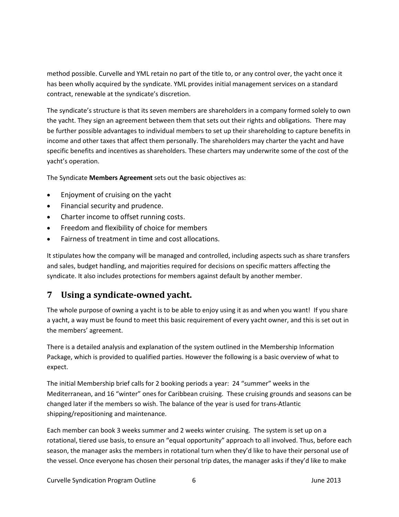method possible. Curvelle and YML retain no part of the title to, or any control over, the yacht once it has been wholly acquired by the syndicate. YML provides initial management services on a standard contract, renewable at the syndicate's discretion.

The syndicate's structure is that its seven members are shareholders in a company formed solely to own the yacht. They sign an agreement between them that sets out their rights and obligations. There may be further possible advantages to individual members to set up their shareholding to capture benefits in income and other taxes that affect them personally. The shareholders may charter the yacht and have specific benefits and incentives as shareholders. These charters may underwrite some of the cost of the yacht's operation.

The Syndicate **Members Agreement** sets out the basic objectives as:

- Enjoyment of cruising on the yacht
- Financial security and prudence.
- Charter income to offset running costs.
- **•** Freedom and flexibility of choice for members
- Fairness of treatment in time and cost allocations.

It stipulates how the company will be managed and controlled, including aspects such as share transfers and sales, budget handling, and majorities required for decisions on specific matters affecting the syndicate. It also includes protections for members against default by another member.

## **7 Using a syndicate-owned yacht.**

The whole purpose of owning a yacht is to be able to enjoy using it as and when you want! If you share a yacht, a way must be found to meet this basic requirement of every yacht owner, and this is set out in the members' agreement.

There is a detailed analysis and explanation of the system outlined in the Membership Information Package, which is provided to qualified parties. However the following is a basic overview of what to expect.

The initial Membership brief calls for 2 booking periods a year: 24 "summer" weeks in the Mediterranean, and 16 "winter" ones for Caribbean cruising. These cruising grounds and seasons can be changed later if the members so wish. The balance of the year is used for trans-Atlantic shipping/repositioning and maintenance.

Each member can book 3 weeks summer and 2 weeks winter cruising. The system is set up on a rotational, tiered use basis, to ensure an "equal opportunity" approach to all involved. Thus, before each season, the manager asks the members in rotational turn when they'd like to have their personal use of the vessel. Once everyone has chosen their personal trip dates, the manager asks if they'd like to make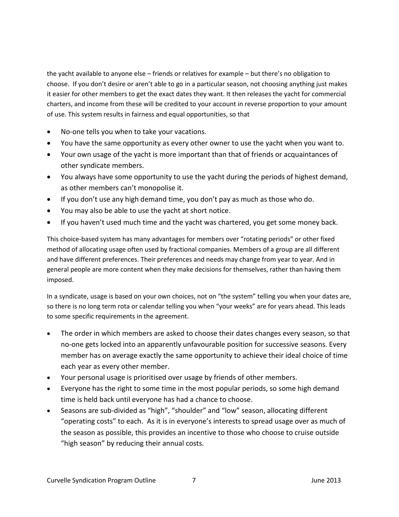the yacht available to anyone else – friends or relatives for example – but there's no obligation to choose. If you don't desire or aren't able to go in a particular season, not choosing anything just makes it easier for other members to get the exact dates they want. It then releases the yacht for commercial charters, and income from these will be credited to your account in reverse proportion to your amount of use. This system results in fairness and equal opportunities, so that

- No-one tells you when to take your vacations.
- You have the same opportunity as every other owner to use the yacht when you want to.
- Your own usage of the yacht is more important than that of friends or acquaintances of other syndicate members.
- You always have some opportunity to use the yacht during the periods of highest demand, as other members can't monopolise it.
- If you don't use any high demand time, you don't pay as much as those who do.
- You may also be able to use the yacht at short notice.
- If you haven't used much time and the yacht was chartered, you get some money back.

This choice-based system has many advantages for members over "rotating periods" or other fixed method of allocating usage often used by fractional companies. Members of a group are all different and have different preferences. Their preferences and needs may change from year to year. And in general people are more content when they make decisions for themselves, rather than having them imposed.

In a syndicate, usage is based on your own choices, not on "the system" telling you when your dates are, so there is no long term rota or calendar telling you when "your weeks" are for years ahead. This leads to some specific requirements in the agreement.

- The order in which members are asked to choose their dates changes every season, so that no-one gets locked into an apparently unfavourable position for successive seasons. Every member has on average exactly the same opportunity to achieve their ideal choice of time each year as every other member.
- Your personal usage is prioritised over usage by friends of other members.
- Everyone has the right to some time in the most popular periods, so some high demand time is held back until everyone has had a chance to choose.
- Seasons are sub-divided as "high", "shoulder" and "low" season, allocating different "operating costs" to each. As it is in everyone's interests to spread usage over as much of the season as possible, this provides an incentive to those who choose to cruise outside "high season" by reducing their annual costs.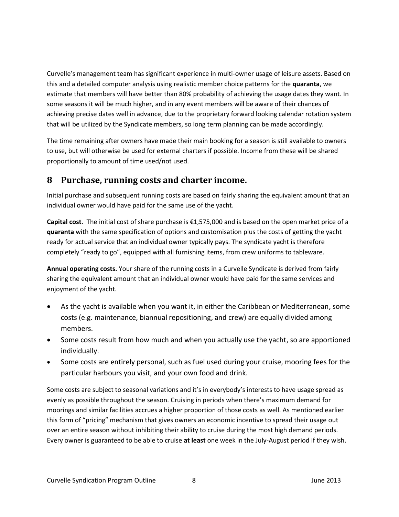Curvelle's management team has significant experience in multi-owner usage of leisure assets. Based on this and a detailed computer analysis using realistic member choice patterns for the **quaranta**, we estimate that members will have better than 80% probability of achieving the usage dates they want. In some seasons it will be much higher, and in any event members will be aware of their chances of achieving precise dates well in advance, due to the proprietary forward looking calendar rotation system that will be utilized by the Syndicate members, so long term planning can be made accordingly.

The time remaining after owners have made their main booking for a season is still available to owners to use, but will otherwise be used for external charters if possible. Income from these will be shared proportionally to amount of time used/not used.

#### **8 Purchase, running costs and charter income.**

Initial purchase and subsequent running costs are based on fairly sharing the equivalent amount that an individual owner would have paid for the same use of the yacht.

**Capital cost**. The initial cost of share purchase is €1,575,000 and is based on the open market price of a **quaranta** with the same specification of options and customisation plus the costs of getting the yacht ready for actual service that an individual owner typically pays. The syndicate yacht is therefore completely "ready to go", equipped with all furnishing items, from crew uniforms to tableware.

**Annual operating costs.** Your share of the running costs in a Curvelle Syndicate is derived from fairly sharing the equivalent amount that an individual owner would have paid for the same services and enjoyment of the yacht.

- As the yacht is available when you want it, in either the Caribbean or Mediterranean, some costs (e.g. maintenance, biannual repositioning, and crew) are equally divided among members.
- Some costs result from how much and when you actually use the yacht, so are apportioned individually.
- Some costs are entirely personal, such as fuel used during your cruise, mooring fees for the particular harbours you visit, and your own food and drink.

Some costs are subject to seasonal variations and it's in everybody's interests to have usage spread as evenly as possible throughout the season. Cruising in periods when there's maximum demand for moorings and similar facilities accrues a higher proportion of those costs as well. As mentioned earlier this form of "pricing" mechanism that gives owners an economic incentive to spread their usage out over an entire season without inhibiting their ability to cruise during the most high demand periods. Every owner is guaranteed to be able to cruise **at least** one week in the July-August period if they wish.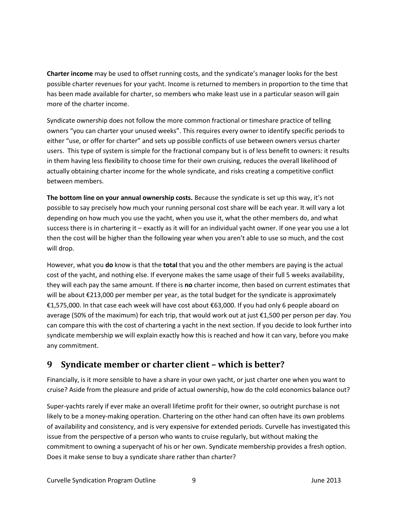**Charter income** may be used to offset running costs, and the syndicate's manager looks for the best possible charter revenues for your yacht. Income is returned to members in proportion to the time that has been made available for charter, so members who make least use in a particular season will gain more of the charter income.

Syndicate ownership does not follow the more common fractional or timeshare practice of telling owners "you can charter your unused weeks". This requires every owner to identify specific periods to either "use, or offer for charter" and sets up possible conflicts of use between owners versus charter users. This type of system is simple for the fractional company but is of less benefit to owners: it results in them having less flexibility to choose time for their own cruising, reduces the overall likelihood of actually obtaining charter income for the whole syndicate, and risks creating a competitive conflict between members.

**The bottom line on your annual ownership costs.** Because the syndicate is set up this way, it's not possible to say precisely how much your running personal cost share will be each year. It will vary a lot depending on how much you use the yacht, when you use it, what the other members do, and what success there is in chartering it – exactly as it will for an individual yacht owner. If one year you use a lot then the cost will be higher than the following year when you aren't able to use so much, and the cost will drop.

However, what you **do** know is that the **total** that you and the other members are paying is the actual cost of the yacht, and nothing else. If everyone makes the same usage of their full 5 weeks availability, they will each pay the same amount. If there is **no** charter income, then based on current estimates that will be about €213,000 per member per year, as the total budget for the syndicate is approximately €1,575,000. In that case each week will have cost about €63,000. If you had only 6 people aboard on average (50% of the maximum) for each trip, that would work out at just €1,500 per person per day. You can compare this with the cost of chartering a yacht in the next section. If you decide to look further into syndicate membership we will explain exactly how this is reached and how it can vary, before you make any commitment.

### **9 Syndicate member or charter client – which is better?**

Financially, is it more sensible to have a share in your own yacht, or just charter one when you want to cruise? Aside from the pleasure and pride of actual ownership, how do the cold economics balance out?

Super-yachts rarely if ever make an overall lifetime profit for their owner, so outright purchase is not likely to be a money-making operation. Chartering on the other hand can often have its own problems of availability and consistency, and is very expensive for extended periods. Curvelle has investigated this issue from the perspective of a person who wants to cruise regularly, but without making the commitment to owning a superyacht of his or her own. Syndicate membership provides a fresh option. Does it make sense to buy a syndicate share rather than charter?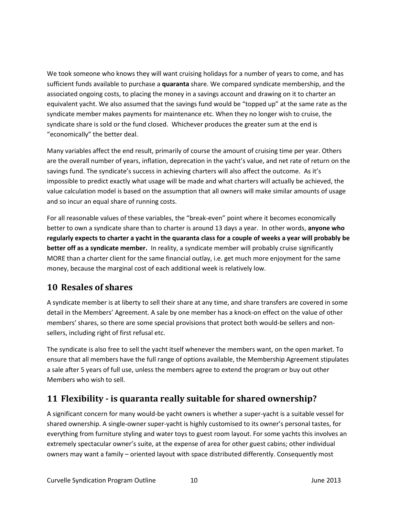We took someone who knows they will want cruising holidays for a number of years to come, and has sufficient funds available to purchase a **quaranta** share. We compared syndicate membership, and the associated ongoing costs, to placing the money in a savings account and drawing on it to charter an equivalent yacht. We also assumed that the savings fund would be "topped up" at the same rate as the syndicate member makes payments for maintenance etc. When they no longer wish to cruise, the syndicate share is sold or the fund closed. Whichever produces the greater sum at the end is "economically" the better deal.

Many variables affect the end result, primarily of course the amount of cruising time per year. Others are the overall number of years, inflation, deprecation in the yacht's value, and net rate of return on the savings fund. The syndicate's success in achieving charters will also affect the outcome. As it's impossible to predict exactly what usage will be made and what charters will actually be achieved, the value calculation model is based on the assumption that all owners will make similar amounts of usage and so incur an equal share of running costs.

For all reasonable values of these variables, the "break-even" point where it becomes economically better to own a syndicate share than to charter is around 13 days a year. In other words, **anyone who regularly expects to charter a yacht in the quaranta class for a couple of weeks a year will probably be better off as a syndicate member.** In reality, a syndicate member will probably cruise significantly MORE than a charter client for the same financial outlay, i.e. get much more enjoyment for the same money, because the marginal cost of each additional week is relatively low.

#### **10 Resales of shares**

A syndicate member is at liberty to sell their share at any time, and share transfers are covered in some detail in the Members' Agreement. A sale by one member has a knock-on effect on the value of other members' shares, so there are some special provisions that protect both would-be sellers and nonsellers, including right of first refusal etc.

The syndicate is also free to sell the yacht itself whenever the members want, on the open market. To ensure that all members have the full range of options available, the Membership Agreement stipulates a sale after 5 years of full use, unless the members agree to extend the program or buy out other Members who wish to sell.

## **11 Flexibility - is quaranta really suitable for shared ownership?**

A significant concern for many would-be yacht owners is whether a super-yacht is a suitable vessel for shared ownership. A single-owner super-yacht is highly customised to its owner's personal tastes, for everything from furniture styling and water toys to guest room layout. For some yachts this involves an extremely spectacular owner's suite, at the expense of area for other guest cabins; other individual owners may want a family – oriented layout with space distributed differently. Consequently most